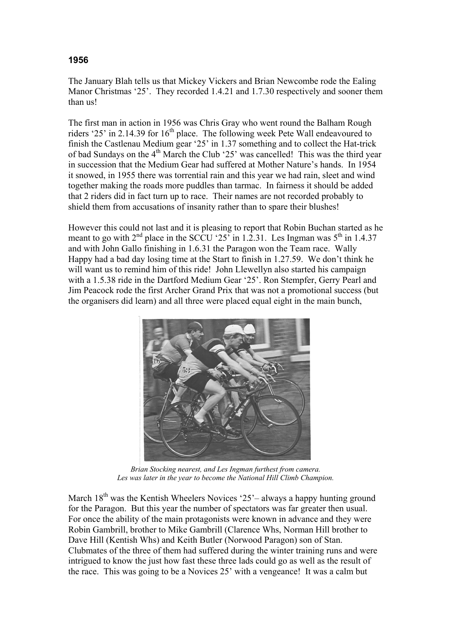## **1956**

The January Blah tells us that Mickey Vickers and Brian Newcombe rode the Ealing Manor Christmas '25'. They recorded 1.4.21 and 1.7.30 respectively and sooner them than us!

The first man in action in 1956 was Chris Gray who went round the Balham Rough riders '25' in 2.14.39 for  $16<sup>th</sup>$  place. The following week Pete Wall endeavoured to finish the Castlenau Medium gear '25' in 1.37 something and to collect the Hat-trick of bad Sundays on the  $4<sup>th</sup>$  March the Club '25' was cancelled! This was the third year in succession that the Medium Gear had suffered at Mother Nature's hands. In 1954 it snowed, in 1955 there was torrential rain and this year we had rain, sleet and wind together making the roads more puddles than tarmac. In fairness it should be added that 2 riders did in fact turn up to race. Their names are not recorded probably to shield them from accusations of insanity rather than to spare their blushes!

However this could not last and it is pleasing to report that Robin Buchan started as he meant to go with  $2<sup>nd</sup>$  place in the SCCU '25' in 1.2.31. Les Ingman was  $5<sup>th</sup>$  in 1.4.37 and with John Gallo finishing in 1.6.31 the Paragon won the Team race. Wally Happy had a bad day losing time at the Start to finish in 1.27.59. We don't think he will want us to remind him of this ride! John Llewellyn also started his campaign with a 1.5.38 ride in the Dartford Medium Gear '25'. Ron Stempfer, Gerry Pearl and Jim Peacock rode the first Archer Grand Prix that was not a promotional success (but the organisers did learn) and all three were placed equal eight in the main bunch,



*Brian Stocking nearest, and Les Ingman furthest from camera. Les was later in the year to become the National Hill Climb Champion.* 

March  $18<sup>th</sup>$  was the Kentish Wheelers Novices '25'– always a happy hunting ground for the Paragon. But this year the number of spectators was far greater then usual. For once the ability of the main protagonists were known in advance and they were Robin Gambrill, brother to Mike Gambrill (Clarence Whs, Norman Hill brother to Dave Hill (Kentish Whs) and Keith Butler (Norwood Paragon) son of Stan. Clubmates of the three of them had suffered during the winter training runs and were intrigued to know the just how fast these three lads could go as well as the result of the race. This was going to be a Novices 25' with a vengeance! It was a calm but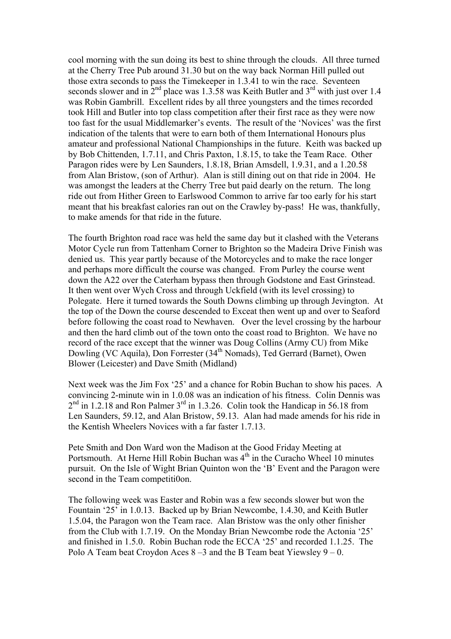cool morning with the sun doing its best to shine through the clouds. All three turned at the Cherry Tree Pub around 31.30 but on the way back Norman Hill pulled out those extra seconds to pass the Timekeeper in 1.3.41 to win the race. Seventeen seconds slower and in  $2<sup>nd</sup>$  place was 1.3.58 was Keith Butler and  $3<sup>rd</sup>$  with just over 1.4 was Robin Gambrill. Excellent rides by all three youngsters and the times recorded took Hill and Butler into top class competition after their first race as they were now too fast for the usual Middlemarker's events. The result of the 'Novices' was the first indication of the talents that were to earn both of them International Honours plus amateur and professional National Championships in the future. Keith was backed up by Bob Chittenden, 1.7.11, and Chris Paxton, 1.8.15, to take the Team Race. Other Paragon rides were by Len Saunders, 1.8.18, Brian Amsdell, 1.9.31, and a 1.20.58 from Alan Bristow, (son of Arthur). Alan is still dining out on that ride in 2004. He was amongst the leaders at the Cherry Tree but paid dearly on the return. The long ride out from Hither Green to Earlswood Common to arrive far too early for his start meant that his breakfast calories ran out on the Crawley by-pass! He was, thankfully, to make amends for that ride in the future.

The fourth Brighton road race was held the same day but it clashed with the Veterans Motor Cycle run from Tattenham Corner to Brighton so the Madeira Drive Finish was denied us. This year partly because of the Motorcycles and to make the race longer and perhaps more difficult the course was changed. From Purley the course went down the A22 over the Caterham bypass then through Godstone and East Grinstead. It then went over Wych Cross and through Uckfield (with its level crossing) to Polegate. Here it turned towards the South Downs climbing up through Jevington. At the top of the Down the course descended to Exceat then went up and over to Seaford before following the coast road to Newhaven. Over the level crossing by the harbour and then the hard climb out of the town onto the coast road to Brighton. We have no record of the race except that the winner was Doug Collins (Army CU) from Mike Dowling (VC Aquila), Don Forrester (34<sup>th</sup> Nomads), Ted Gerrard (Barnet), Owen Blower (Leicester) and Dave Smith (Midland)

Next week was the Jim Fox '25' and a chance for Robin Buchan to show his paces. A convincing 2-minute win in 1.0.08 was an indication of his fitness. Colin Dennis was  $2<sup>nd</sup>$  in 1.2.18 and Ron Palmer  $3<sup>rd</sup>$  in 1.3.26. Colin took the Handicap in 56.18 from Len Saunders, 59.12, and Alan Bristow, 59.13. Alan had made amends for his ride in the Kentish Wheelers Novices with a far faster 1.7.13.

Pete Smith and Don Ward won the Madison at the Good Friday Meeting at Portsmouth. At Herne Hill Robin Buchan was  $4<sup>th</sup>$  in the Curacho Wheel 10 minutes pursuit. On the Isle of Wight Brian Quinton won the 'B' Event and the Paragon were second in the Team competiti0on.

The following week was Easter and Robin was a few seconds slower but won the Fountain '25' in 1.0.13. Backed up by Brian Newcombe, 1.4.30, and Keith Butler 1.5.04, the Paragon won the Team race. Alan Bristow was the only other finisher from the Club with 1.7.19. On the Monday Brian Newcombe rode the Actonia '25' and finished in 1.5.0. Robin Buchan rode the ECCA '25' and recorded 1.1.25. The Polo A Team beat Croydon Aces  $8-3$  and the B Team beat Yiewsley  $9-0$ .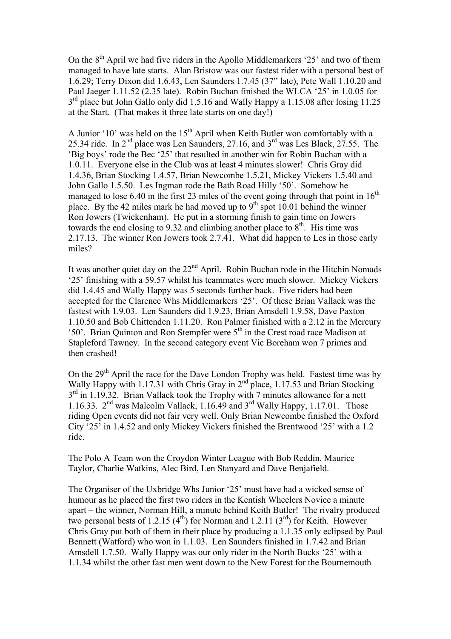On the  $8<sup>th</sup>$  April we had five riders in the Apollo Middlemarkers '25' and two of them managed to have late starts. Alan Bristow was our fastest rider with a personal best of 1.6.29; Terry Dixon did 1.6.43, Len Saunders 1.7.45 (37" late), Pete Wall 1.10.20 and Paul Jaeger 1.11.52 (2.35 late). Robin Buchan finished the WLCA '25' in 1.0.05 for 3<sup>rd</sup> place but John Gallo only did 1.5.16 and Wally Happy a 1.15.08 after losing 11.25 at the Start. (That makes it three late starts on one day!)

A Junior '10' was held on the  $15<sup>th</sup>$  April when Keith Butler won comfortably with a 25.34 ride. In  $2<sup>nd</sup>$  place was Len Saunders, 27.16, and  $3<sup>rd</sup>$  was Les Black, 27.55. The 'Big boys' rode the Bec '25' that resulted in another win for Robin Buchan with a 1.0.11. Everyone else in the Club was at least 4 minutes slower! Chris Gray did 1.4.36, Brian Stocking 1.4.57, Brian Newcombe 1.5.21, Mickey Vickers 1.5.40 and John Gallo 1.5.50. Les Ingman rode the Bath Road Hilly '50'. Somehow he managed to lose 6.40 in the first 23 miles of the event going through that point in  $16<sup>th</sup>$ place. By the 42 miles mark he had moved up to  $9<sup>th</sup>$  spot 10.01 behind the winner Ron Jowers (Twickenham). He put in a storming finish to gain time on Jowers towards the end closing to 9.32 and climbing another place to  $8<sup>th</sup>$ . His time was 2.17.13. The winner Ron Jowers took 2.7.41. What did happen to Les in those early miles?

It was another quiet day on the  $22<sup>nd</sup>$  April. Robin Buchan rode in the Hitchin Nomads '25' finishing with a 59.57 whilst his teammates were much slower. Mickey Vickers did 1.4.45 and Wally Happy was 5 seconds further back. Five riders had been accepted for the Clarence Whs Middlemarkers '25'. Of these Brian Vallack was the fastest with 1.9.03. Len Saunders did 1.9.23, Brian Amsdell 1.9.58, Dave Paxton 1.10.50 and Bob Chittenden 1.11.20. Ron Palmer finished with a 2.12 in the Mercury '50'. Brian Quinton and Ron Stempfer were  $5<sup>th</sup>$  in the Crest road race Madison at Stapleford Tawney. In the second category event Vic Boreham won 7 primes and then crashed!

On the 29<sup>th</sup> April the race for the Dave London Trophy was held. Fastest time was by Wally Happy with 1.17.31 with Chris Gray in 2<sup>nd</sup> place, 1.17.53 and Brian Stocking  $3<sup>rd</sup>$  in 1.19.32. Brian Vallack took the Trophy with 7 minutes allowance for a nett 1.16.33.  $2<sup>nd</sup>$  was Malcolm Vallack, 1.16.49 and  $3<sup>rd</sup>$  Wally Happy, 1.17.01. Those riding Open events did not fair very well. Only Brian Newcombe finished the Oxford City '25' in 1.4.52 and only Mickey Vickers finished the Brentwood '25' with a 1.2 ride.

The Polo A Team won the Croydon Winter League with Bob Reddin, Maurice Taylor, Charlie Watkins, Alec Bird, Len Stanyard and Dave Benjafield.

The Organiser of the Uxbridge Whs Junior '25' must have had a wicked sense of humour as he placed the first two riders in the Kentish Wheelers Novice a minute apart – the winner, Norman Hill, a minute behind Keith Butler! The rivalry produced two personal bests of 1.2.15  $(4^{th})$  for Norman and 1.2.11  $(3^{rd})$  for Keith. However Chris Gray put both of them in their place by producing a 1.1.35 only eclipsed by Paul Bennett (Watford) who won in 1.1.03. Len Saunders finished in 1.7.42 and Brian Amsdell 1.7.50. Wally Happy was our only rider in the North Bucks '25' with a 1.1.34 whilst the other fast men went down to the New Forest for the Bournemouth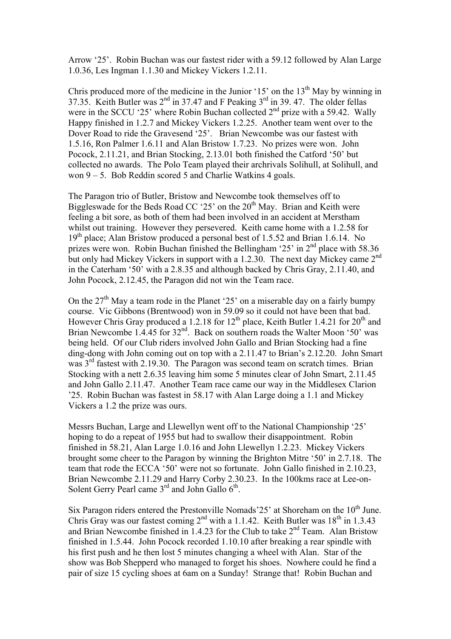Arrow '25'. Robin Buchan was our fastest rider with a 59.12 followed by Alan Large 1.0.36, Les Ingman 1.1.30 and Mickey Vickers 1.2.11.

Chris produced more of the medicine in the Junior '15' on the  $13<sup>th</sup>$  May by winning in 37.35. Keith Butler was  $2<sup>nd</sup>$  in 37.47 and F Peaking  $3<sup>rd</sup>$  in 39.47. The older fellas were in the SCCU '25' where Robin Buchan collected  $2<sup>nd</sup>$  prize with a 59.42. Wally Happy finished in 1.2.7 and Mickey Vickers 1.2.25. Another team went over to the Dover Road to ride the Gravesend '25'. Brian Newcombe was our fastest with 1.5.16, Ron Palmer 1.6.11 and Alan Bristow 1.7.23. No prizes were won. John Pocock, 2.11.21, and Brian Stocking, 2.13.01 both finished the Catford '50' but collected no awards. The Polo Team played their archrivals Solihull, at Solihull, and won 9 – 5. Bob Reddin scored 5 and Charlie Watkins 4 goals.

The Paragon trio of Butler, Bristow and Newcombe took themselves off to Biggleswade for the Beds Road CC '25' on the  $20<sup>th</sup>$  May. Brian and Keith were feeling a bit sore, as both of them had been involved in an accident at Merstham whilst out training. However they persevered. Keith came home with a 1.2.58 for  $19<sup>th</sup>$  place; Alan Bristow produced a personal best of 1.5.52 and Brian 1.6.14. No prizes were won. Robin Buchan finished the Bellingham '25' in  $2<sup>nd</sup>$  place with 58.36 but only had Mickey Vickers in support with a 1.2.30. The next day Mickey came 2<sup>nd</sup> in the Caterham '50' with a 2.8.35 and although backed by Chris Gray, 2.11.40, and John Pocock, 2.12.45, the Paragon did not win the Team race.

On the  $27<sup>th</sup>$  May a team rode in the Planet '25' on a miserable day on a fairly bumpy course. Vic Gibbons (Brentwood) won in 59.09 so it could not have been that bad. However Chris Gray produced a 1.2.18 for  $12<sup>th</sup>$  place, Keith Butler 1.4.21 for  $20<sup>th</sup>$  and Brian Newcombe 1.4.45 for 32<sup>nd</sup>. Back on southern roads the Walter Moon '50' was being held. Of our Club riders involved John Gallo and Brian Stocking had a fine ding-dong with John coming out on top with a 2.11.47 to Brian's 2.12.20. John Smart was 3<sup>rd</sup> fastest with 2.19.30. The Paragon was second team on scratch times. Brian Stocking with a nett 2.6.35 leaving him some 5 minutes clear of John Smart, 2.11.45 and John Gallo 2.11.47. Another Team race came our way in the Middlesex Clarion '25. Robin Buchan was fastest in 58.17 with Alan Large doing a 1.1 and Mickey Vickers a 1.2 the prize was ours.

Messrs Buchan, Large and Llewellyn went off to the National Championship '25' hoping to do a repeat of 1955 but had to swallow their disappointment. Robin finished in 58.21, Alan Large 1.0.16 and John Llewellyn 1.2.23. Mickey Vickers brought some cheer to the Paragon by winning the Brighton Mitre '50' in 2.7.18. The team that rode the ECCA '50' were not so fortunate. John Gallo finished in 2.10.23, Brian Newcombe 2.11.29 and Harry Corby 2.30.23. In the 100kms race at Lee-on-Solent Gerry Pearl came  $3<sup>rd</sup>$  and John Gallo  $6<sup>th</sup>$ .

Six Paragon riders entered the Prestonville Nomads'25' at Shoreham on the 10<sup>th</sup> June. Chris Gray was our fastest coming  $2<sup>nd</sup>$  with a 1.1.42. Keith Butler was  $18<sup>th</sup>$  in 1.3.43 and Brian Newcombe finished in 1.4.23 for the Club to take  $2<sup>nd</sup>$  Team. Alan Bristow finished in 1.5.44. John Pocock recorded 1.10.10 after breaking a rear spindle with his first push and he then lost 5 minutes changing a wheel with Alan. Star of the show was Bob Shepperd who managed to forget his shoes. Nowhere could he find a pair of size 15 cycling shoes at 6am on a Sunday! Strange that! Robin Buchan and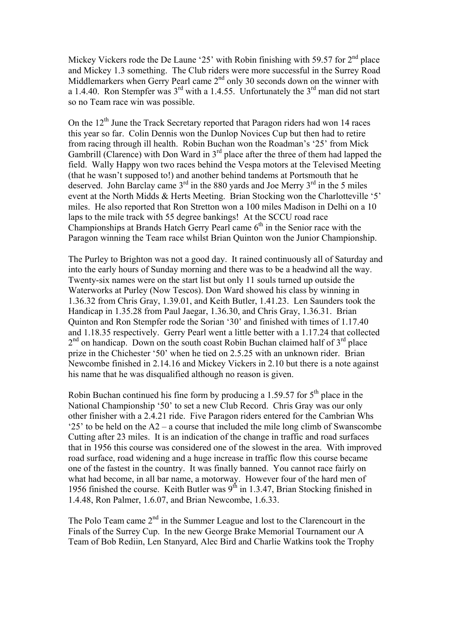Mickey Vickers rode the De Laune '25' with Robin finishing with 59.57 for  $2<sup>nd</sup>$  place and Mickey 1.3 something. The Club riders were more successful in the Surrey Road Middlemarkers when Gerry Pearl came  $2<sup>nd</sup>$  only 30 seconds down on the winner with a 1.4.40. Ron Stempfer was  $3<sup>rd</sup>$  with a 1.4.55. Unfortunately the  $3<sup>rd</sup>$  man did not start so no Team race win was possible.

On the  $12<sup>th</sup>$  June the Track Secretary reported that Paragon riders had won 14 races this year so far. Colin Dennis won the Dunlop Novices Cup but then had to retire from racing through ill health. Robin Buchan won the Roadman's '25' from Mick Gambrill (Clarence) with Don Ward in  $3<sup>rd</sup>$  place after the three of them had lapped the field. Wally Happy won two races behind the Vespa motors at the Televised Meeting (that he wasn't supposed to!) and another behind tandems at Portsmouth that he deserved. John Barclay came  $3<sup>rd</sup>$  in the 880 yards and Joe Merry  $3<sup>rd</sup>$  in the 5 miles event at the North Midds & Herts Meeting. Brian Stocking won the Charlotteville '5' miles. He also reported that Ron Stretton won a 100 miles Madison in Delhi on a 10 laps to the mile track with 55 degree bankings! At the SCCU road race Championships at Brands Hatch Gerry Pearl came  $6<sup>th</sup>$  in the Senior race with the Paragon winning the Team race whilst Brian Quinton won the Junior Championship.

The Purley to Brighton was not a good day. It rained continuously all of Saturday and into the early hours of Sunday morning and there was to be a headwind all the way. Twenty-six names were on the start list but only 11 souls turned up outside the Waterworks at Purley (Now Tescos). Don Ward showed his class by winning in 1.36.32 from Chris Gray, 1.39.01, and Keith Butler, 1.41.23. Len Saunders took the Handicap in 1.35.28 from Paul Jaegar, 1.36.30, and Chris Gray, 1.36.31. Brian Quinton and Ron Stempfer rode the Sorian '30' and finished with times of 1.17.40 and 1.18.35 respectively. Gerry Pearl went a little better with a 1.17.24 that collected  $2<sup>nd</sup>$  on handicap. Down on the south coast Robin Buchan claimed half of  $3<sup>rd</sup>$  place prize in the Chichester '50' when he tied on 2.5.25 with an unknown rider. Brian Newcombe finished in 2.14.16 and Mickey Vickers in 2.10 but there is a note against his name that he was disqualified although no reason is given.

Robin Buchan continued his fine form by producing a 1.59.57 for  $5<sup>th</sup>$  place in the National Championship '50' to set a new Club Record. Chris Gray was our only other finisher with a 2.4.21 ride. Five Paragon riders entered for the Cambrian Whs '25' to be held on the A2 – a course that included the mile long climb of Swanscombe Cutting after 23 miles. It is an indication of the change in traffic and road surfaces that in 1956 this course was considered one of the slowest in the area. With improved road surface, road widening and a huge increase in traffic flow this course became one of the fastest in the country. It was finally banned. You cannot race fairly on what had become, in all bar name, a motorway. However four of the hard men of 1956 finished the course. Keith Butler was  $9<sup>th</sup>$  in 1.3.47, Brian Stocking finished in 1.4.48, Ron Palmer, 1.6.07, and Brian Newcombe, 1.6.33.

The Polo Team came  $2<sup>nd</sup>$  in the Summer League and lost to the Clarencourt in the Finals of the Surrey Cup. In the new George Brake Memorial Tournament our A Team of Bob Rediin, Len Stanyard, Alec Bird and Charlie Watkins took the Trophy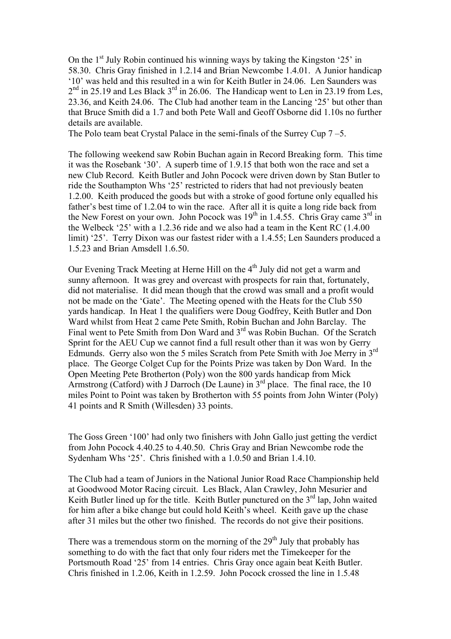On the  $1<sup>st</sup>$  July Robin continued his winning ways by taking the Kingston '25' in 58.30. Chris Gray finished in 1.2.14 and Brian Newcombe 1.4.01. A Junior handicap '10' was held and this resulted in a win for Keith Butler in 24.06. Len Saunders was  $2<sup>nd</sup>$  in 25.19 and Les Black  $3<sup>rd</sup>$  in 26.06. The Handicap went to Len in 23.19 from Les, 23.36, and Keith 24.06. The Club had another team in the Lancing '25' but other than that Bruce Smith did a 1.7 and both Pete Wall and Geoff Osborne did 1.10s no further details are available.

The Polo team beat Crystal Palace in the semi-finals of the Surrey Cup 7 –5.

The following weekend saw Robin Buchan again in Record Breaking form. This time it was the Rosebank '30'. A superb time of 1.9.15 that both won the race and set a new Club Record. Keith Butler and John Pocock were driven down by Stan Butler to ride the Southampton Whs '25' restricted to riders that had not previously beaten 1.2.00. Keith produced the goods but with a stroke of good fortune only equalled his father's best time of 1.2.04 to win the race. After all it is quite a long ride back from the New Forest on your own. John Pocock was  $19<sup>th</sup>$  in 1.4.55. Chris Gray came  $3<sup>rd</sup>$  in the Welbeck '25' with a 1.2.36 ride and we also had a team in the Kent RC (1.4.00 limit) '25'. Terry Dixon was our fastest rider with a 1.4.55; Len Saunders produced a 1.5.23 and Brian Amsdell 1.6.50.

Our Evening Track Meeting at Herne Hill on the  $4<sup>th</sup>$  July did not get a warm and sunny afternoon. It was grey and overcast with prospects for rain that, fortunately, did not materialise. It did mean though that the crowd was small and a profit would not be made on the 'Gate'. The Meeting opened with the Heats for the Club 550 yards handicap. In Heat 1 the qualifiers were Doug Godfrey, Keith Butler and Don Ward whilst from Heat 2 came Pete Smith, Robin Buchan and John Barclay. The Final went to Pete Smith from Don Ward and 3<sup>rd</sup> was Robin Buchan. Of the Scratch Sprint for the AEU Cup we cannot find a full result other than it was won by Gerry Edmunds. Gerry also won the 5 miles Scratch from Pete Smith with Joe Merry in 3rd place. The George Colget Cup for the Points Prize was taken by Don Ward. In the Open Meeting Pete Brotherton (Poly) won the 800 yards handicap from Mick Armstrong (Catford) with J Darroch (De Laune) in  $3<sup>rd</sup>$  place. The final race, the 10 miles Point to Point was taken by Brotherton with 55 points from John Winter (Poly) 41 points and R Smith (Willesden) 33 points.

The Goss Green '100' had only two finishers with John Gallo just getting the verdict from John Pocock 4.40.25 to 4.40.50. Chris Gray and Brian Newcombe rode the Sydenham Whs '25'. Chris finished with a 1.0.50 and Brian 1.4.10.

The Club had a team of Juniors in the National Junior Road Race Championship held at Goodwood Motor Racing circuit. Les Black, Alan Crawley, John Mesurier and Keith Butler lined up for the title. Keith Butler punctured on the  $3<sup>rd</sup>$  lap, John waited for him after a bike change but could hold Keith's wheel. Keith gave up the chase after 31 miles but the other two finished. The records do not give their positions.

There was a tremendous storm on the morning of the  $29<sup>th</sup>$  July that probably has something to do with the fact that only four riders met the Timekeeper for the Portsmouth Road '25' from 14 entries. Chris Gray once again beat Keith Butler. Chris finished in 1.2.06, Keith in 1.2.59. John Pocock crossed the line in 1.5.48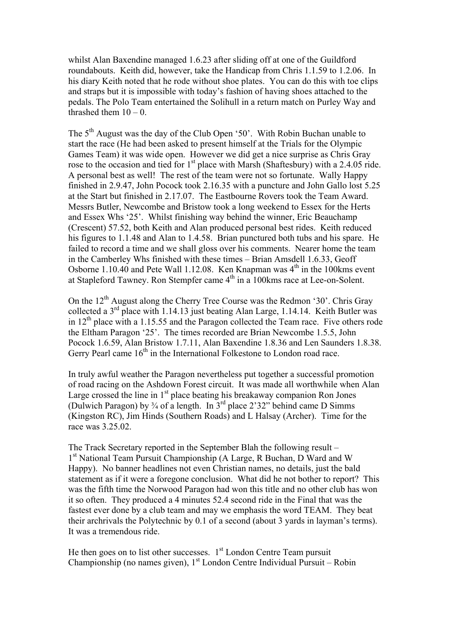whilst Alan Baxendine managed 1.6.23 after sliding off at one of the Guildford roundabouts. Keith did, however, take the Handicap from Chris 1.1.59 to 1.2.06. In his diary Keith noted that he rode without shoe plates. You can do this with toe clips and straps but it is impossible with today's fashion of having shoes attached to the pedals. The Polo Team entertained the Solihull in a return match on Purley Way and thrashed them  $10 - 0$ .

The  $5<sup>th</sup>$  August was the day of the Club Open '50'. With Robin Buchan unable to start the race (He had been asked to present himself at the Trials for the Olympic Games Team) it was wide open. However we did get a nice surprise as Chris Gray rose to the occasion and tied for  $1<sup>st</sup>$  place with Marsh (Shaftesbury) with a 2.4.05 ride. A personal best as well! The rest of the team were not so fortunate. Wally Happy finished in 2.9.47, John Pocock took 2.16.35 with a puncture and John Gallo lost 5.25 at the Start but finished in 2.17.07. The Eastbourne Rovers took the Team Award. Messrs Butler, Newcombe and Bristow took a long weekend to Essex for the Herts and Essex Whs '25'. Whilst finishing way behind the winner, Eric Beauchamp (Crescent) 57.52, both Keith and Alan produced personal best rides. Keith reduced his figures to 1.1.48 and Alan to 1.4.58. Brian punctured both tubs and his spare. He failed to record a time and we shall gloss over his comments. Nearer home the team in the Camberley Whs finished with these times – Brian Amsdell 1.6.33, Geoff Osborne 1.10.40 and Pete Wall 1.12.08. Ken Knapman was  $4<sup>th</sup>$  in the 100kms event at Stapleford Tawney. Ron Stempfer came  $4<sup>th</sup>$  in a 100 kms race at Lee-on-Solent.

On the  $12<sup>th</sup>$  August along the Cherry Tree Course was the Redmon '30'. Chris Gray collected a  $3<sup>rd</sup>$  place with 1.14.13 just beating Alan Large, 1.14.14. Keith Butler was in  $12<sup>th</sup>$  place with a 1.15.55 and the Paragon collected the Team race. Five others rode the Eltham Paragon '25'. The times recorded are Brian Newcombe 1.5.5, John Pocock 1.6.59, Alan Bristow 1.7.11, Alan Baxendine 1.8.36 and Len Saunders 1.8.38. Gerry Pearl came  $16<sup>th</sup>$  in the International Folkestone to London road race.

In truly awful weather the Paragon nevertheless put together a successful promotion of road racing on the Ashdown Forest circuit. It was made all worthwhile when Alan Large crossed the line in  $1<sup>st</sup>$  place beating his breakaway companion Ron Jones (Dulwich Paragon) by  $\frac{3}{4}$  of a length. In  $3^{rd}$  place 2'32" behind came D Simms (Kingston RC), Jim Hinds (Southern Roads) and L Halsay (Archer). Time for the race was 3.25.02.

The Track Secretary reported in the September Blah the following result – 1<sup>st</sup> National Team Pursuit Championship (A Large, R Buchan, D Ward and W Happy). No banner headlines not even Christian names, no details, just the bald statement as if it were a foregone conclusion. What did he not bother to report? This was the fifth time the Norwood Paragon had won this title and no other club has won it so often. They produced a 4 minutes 52.4 second ride in the Final that was the fastest ever done by a club team and may we emphasis the word TEAM. They beat their archrivals the Polytechnic by 0.1 of a second (about 3 yards in layman's terms). It was a tremendous ride.

He then goes on to list other successes.  $1<sup>st</sup>$  London Centre Team pursuit Championship (no names given),  $1<sup>st</sup>$  London Centre Individual Pursuit – Robin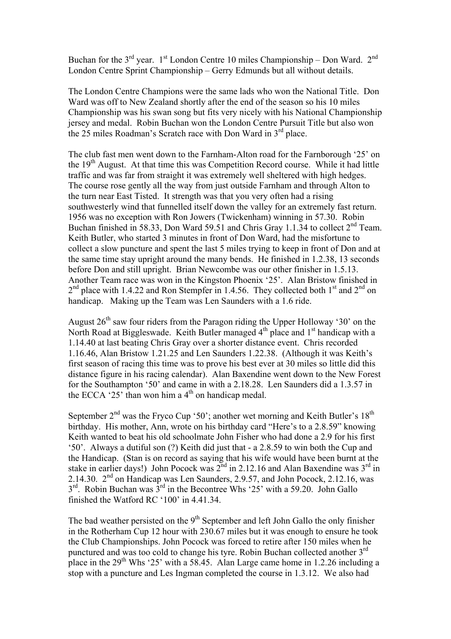Buchan for the  $3<sup>rd</sup>$  year.  $1<sup>st</sup>$  London Centre 10 miles Championship – Don Ward.  $2<sup>nd</sup>$ London Centre Sprint Championship – Gerry Edmunds but all without details.

The London Centre Champions were the same lads who won the National Title. Don Ward was off to New Zealand shortly after the end of the season so his 10 miles Championship was his swan song but fits very nicely with his National Championship jersey and medal. Robin Buchan won the London Centre Pursuit Title but also won the 25 miles Roadman's Scratch race with Don Ward in 3<sup>rd</sup> place.

The club fast men went down to the Farnham-Alton road for the Farnborough '25' on the 19<sup>th</sup> August. At that time this was Competition Record course. While it had little traffic and was far from straight it was extremely well sheltered with high hedges. The course rose gently all the way from just outside Farnham and through Alton to the turn near East Tisted. It strength was that you very often had a rising southwesterly wind that funnelled itself down the valley for an extremely fast return. 1956 was no exception with Ron Jowers (Twickenham) winning in 57.30. Robin Buchan finished in 58.33, Don Ward 59.51 and Chris Gray 1.1.34 to collect  $2<sup>nd</sup>$  Team. Keith Butler, who started 3 minutes in front of Don Ward, had the misfortune to collect a slow puncture and spent the last 5 miles trying to keep in front of Don and at the same time stay upright around the many bends. He finished in 1.2.38, 13 seconds before Don and still upright. Brian Newcombe was our other finisher in 1.5.13. Another Team race was won in the Kingston Phoenix '25'. Alan Bristow finished in  $2<sup>nd</sup>$  place with 1.4.22 and Ron Stempfer in 1.4.56. They collected both 1<sup>st</sup> and  $2<sup>nd</sup>$  on handicap. Making up the Team was Len Saunders with a 1.6 ride.

August  $26<sup>th</sup>$  saw four riders from the Paragon riding the Upper Holloway '30' on the North Road at Biggleswade. Keith Butler managed 4<sup>th</sup> place and 1<sup>st</sup> handicap with a 1.14.40 at last beating Chris Gray over a shorter distance event. Chris recorded 1.16.46, Alan Bristow 1.21.25 and Len Saunders 1.22.38. (Although it was Keith's first season of racing this time was to prove his best ever at 30 miles so little did this distance figure in his racing calendar). Alan Baxendine went down to the New Forest for the Southampton '50' and came in with a 2.18.28. Len Saunders did a 1.3.57 in the ECCA  $25'$  than won him a 4<sup>th</sup> on handicap medal.

September  $2<sup>nd</sup>$  was the Fryco Cup '50'; another wet morning and Keith Butler's  $18<sup>th</sup>$ birthday. His mother, Ann, wrote on his birthday card "Here's to a 2.8.59" knowing Keith wanted to beat his old schoolmate John Fisher who had done a 2.9 for his first '50'. Always a dutiful son (?) Keith did just that - a 2.8.59 to win both the Cup and the Handicap. (Stan is on record as saying that his wife would have been burnt at the stake in earlier days!) John Pocock was  $2<sup>nd</sup>$  in 2.12.16 and Alan Baxendine was  $3<sup>rd</sup>$  in 2.14.30. 2nd on Handicap was Len Saunders, 2.9.57, and John Pocock, 2.12.16, was  $3<sup>rd</sup>$ . Robin Buchan was  $3<sup>rd</sup>$  in the Becontree Whs '25' with a 59.20. John Gallo finished the Watford RC '100' in 4.41.34.

The bad weather persisted on the  $9<sup>th</sup>$  September and left John Gallo the only finisher in the Rotherham Cup 12 hour with 230.67 miles but it was enough to ensure he took the Club Championships. John Pocock was forced to retire after 150 miles when he punctured and was too cold to change his tyre. Robin Buchan collected another 3rd place in the  $29<sup>th</sup>$  Whs '25' with a 58.45. Alan Large came home in 1.2.26 including a stop with a puncture and Les Ingman completed the course in 1.3.12. We also had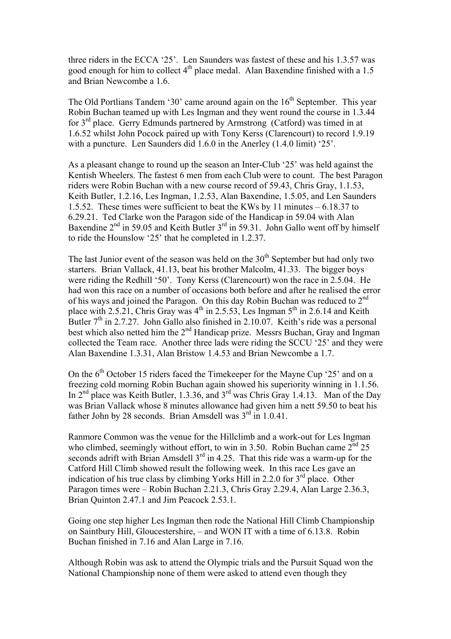three riders in the ECCA '25'. Len Saunders was fastest of these and his 1.3.57 was good enough for him to collect 4<sup>th</sup> place medal. Alan Baxendine finished with a 1.5 and Brian Newcombe a 1.6.

The Old Portlians Tandem '30' came around again on the  $16<sup>th</sup>$  September. This year Robin Buchan teamed up with Les Ingman and they went round the course in 1.3.44 for 3rd place. Gerry Edmunds partnered by Armstrong (Catford) was timed in at 1.6.52 whilst John Pocock paired up with Tony Kerss (Clarencourt) to record 1.9.19 with a puncture. Len Saunders did 1.6.0 in the Anerley (1.4.0 limit) '25'.

As a pleasant change to round up the season an Inter-Club '25' was held against the Kentish Wheelers. The fastest 6 men from each Club were to count. The best Paragon riders were Robin Buchan with a new course record of 59.43, Chris Gray, 1.1.53, Keith Butler, 1.2.16, Les Ingman, 1.2.53, Alan Baxendine, 1.5.05, and Len Saunders 1.5.52. These times were sufficient to beat the KWs by 11 minutes – 6.18.37 to 6.29.21. Ted Clarke won the Paragon side of the Handicap in 59.04 with Alan Baxendine  $2<sup>nd</sup>$  in 59.05 and Keith Butler  $3<sup>rd</sup>$  in 59.31. John Gallo went off by himself to ride the Hounslow '25' that he completed in 1.2.37.

The last Junior event of the season was held on the  $30<sup>th</sup>$  September but had only two starters. Brian Vallack, 41.13, beat his brother Malcolm, 41.33. The bigger boys were riding the Redhill '50'. Tony Kerss (Clarencourt) won the race in 2.5.04. He had won this race on a number of occasions both before and after he realised the error of his ways and joined the Paragon. On this day Robin Buchan was reduced to  $2<sup>nd</sup>$ place with 2.5.21, Chris Gray was  $4<sup>th</sup>$  in 2.5.53, Les Ingman  $5<sup>th</sup>$  in 2.6.14 and Keith Butler  $7<sup>th</sup>$  in 2.7.27. John Gallo also finished in 2.10.07. Keith's ride was a personal best which also netted him the 2<sup>nd</sup> Handicap prize. Messrs Buchan, Gray and Ingman collected the Team race. Another three lads were riding the SCCU '25' and they were Alan Baxendine 1.3.31, Alan Bristow 1.4.53 and Brian Newcombe a 1.7.

On the  $6<sup>th</sup>$  October 15 riders faced the Timekeeper for the Mayne Cup '25' and on a freezing cold morning Robin Buchan again showed his superiority winning in 1.1.56. In 2<sup>nd</sup> place was Keith Butler, 1.3.36, and 3<sup>rd</sup> was Chris Gray 1.4.13. Man of the Day was Brian Vallack whose 8 minutes allowance had given him a nett 59.50 to beat his father John by 28 seconds. Brian Amsdell was  $3<sup>rd</sup>$  in 1.0.41.

Ranmore Common was the venue for the Hillclimb and a work-out for Les Ingman who climbed, seemingly without effort, to win in 3.50. Robin Buchan came  $2^{nd}$  25 seconds adrift with Brian Amsdell  $3<sup>rd</sup>$  in 4.25. That this ride was a warm-up for the Catford Hill Climb showed result the following week. In this race Les gave an indication of his true class by climbing Yorks Hill in 2.2.0 for  $3<sup>rd</sup>$  place. Other Paragon times were – Robin Buchan 2.21.3, Chris Gray 2.29.4, Alan Large 2.36.3, Brian Quinton 2.47.1 and Jim Peacock 2.53.1.

Going one step higher Les Ingman then rode the National Hill Climb Championship on Saintbury Hill, Gloucestershire, – and WON IT with a time of 6.13.8. Robin Buchan finished in 7.16 and Alan Large in 7.16.

Although Robin was ask to attend the Olympic trials and the Pursuit Squad won the National Championship none of them were asked to attend even though they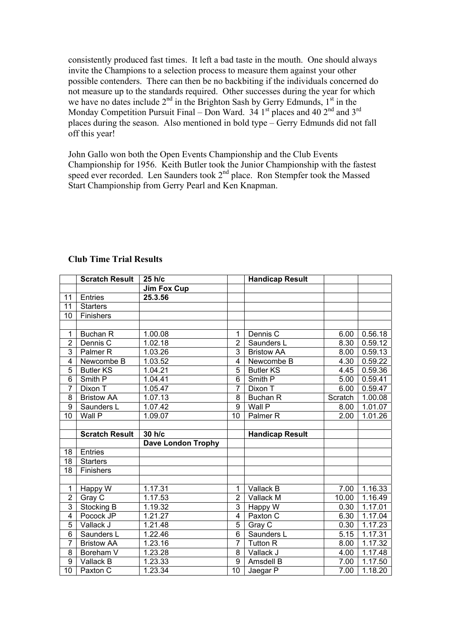consistently produced fast times. It left a bad taste in the mouth. One should always invite the Champions to a selection process to measure them against your other possible contenders. There can then be no backbiting if the individuals concerned do not measure up to the standards required. Other successes during the year for which we have no dates include  $2<sup>nd</sup>$  in the Brighton Sash by Gerry Edmunds,  $1<sup>st</sup>$  in the Monday Competition Pursuit Final – Don Ward.  $34 \text{ 1st}$  places and  $40 \text{ 2nd}$  and  $3 \text{ rd}$ places during the season. Also mentioned in bold type – Gerry Edmunds did not fall off this year!

John Gallo won both the Open Events Championship and the Club Events Championship for 1956. Keith Butler took the Junior Championship with the fastest speed ever recorded. Len Saunders took 2<sup>nd</sup> place. Ron Stempfer took the Massed Start Championship from Gerry Pearl and Ken Knapman.

|                         | <b>Scratch Result</b> | 25 h/c                    |                | <b>Handicap Result</b> |         |         |
|-------------------------|-----------------------|---------------------------|----------------|------------------------|---------|---------|
|                         |                       | <b>Jim Fox Cup</b>        |                |                        |         |         |
| 11                      | <b>Entries</b>        | 25.3.56                   |                |                        |         |         |
| 11                      | <b>Starters</b>       |                           |                |                        |         |         |
| 10                      | Finishers             |                           |                |                        |         |         |
|                         |                       |                           |                |                        |         |         |
| 1                       | Buchan R              | 1.00.08                   | 1              | Dennis C               | 6.00    | 0.56.18 |
| $\overline{2}$          | Dennis C              | 1.02.18                   | $\overline{2}$ | Saunders L             | 8.30    | 0.59.12 |
| 3                       | Palmer <sub>R</sub>   | 1.03.26                   | 3              | <b>Bristow AA</b>      | 8.00    | 0.59.13 |
| 4                       | Newcombe B            | 1.03.52                   | 4              | Newcombe B             | 4.30    | 0.59.22 |
| 5                       | <b>Butler KS</b>      | 1.04.21                   | 5              | <b>Butler KS</b>       | 4.45    | 0.59.36 |
| 6                       | Smith P               | 1.04.41                   | 6              | Smith P                | 5.00    | 0.59.41 |
| $\overline{7}$          | Dixon T               | 1.05.47                   | $\overline{7}$ | Dixon T                | 6.00    | 0.59.47 |
| 8                       | <b>Bristow AA</b>     | 1.07.13                   | 8              | <b>Buchan R</b>        | Scratch | 1.00.08 |
| $\boldsymbol{9}$        | Saunders L            | 1.07.42                   | 9              | Wall P                 | 8.00    | 1.01.07 |
| 10                      | Wall P                | 1.09.07                   | 10             | Palmer <sub>R</sub>    | 2.00    | 1.01.26 |
|                         |                       |                           |                |                        |         |         |
|                         |                       |                           |                |                        |         |         |
|                         | <b>Scratch Result</b> | 30 h/c                    |                | <b>Handicap Result</b> |         |         |
|                         |                       | <b>Dave London Trophy</b> |                |                        |         |         |
| 18                      | <b>Entries</b>        |                           |                |                        |         |         |
| 18                      | <b>Starters</b>       |                           |                |                        |         |         |
| 18                      | Finishers             |                           |                |                        |         |         |
|                         |                       |                           |                |                        |         |         |
| $\mathbf 1$             | Happy W               | 1.17.31                   | 1              | Vallack B              | 7.00    | 1.16.33 |
| $\overline{2}$          | Gray C                | 1.17.53                   | $\overline{2}$ | Vallack M              | 10.00   | 1.16.49 |
| 3                       | Stocking B            | 1.19.32                   | 3              | Happy W                | 0.30    | 1.17.01 |
| $\overline{\mathbf{4}}$ | Pocock JP             | 1.21.27                   | $\overline{4}$ | Paxton C               | 6.30    | 1.17.04 |
| $\overline{5}$          | Vallack J             | 1.21.48                   | $\overline{5}$ | Gray C                 | 0.30    | 1.17.23 |
| $\overline{6}$          | Saunders L            | 1.22.46                   | $\overline{6}$ | Saunders L             | 5.15    | 1.17.31 |
| $\overline{7}$          | <b>Bristow AA</b>     | 1.23.16                   | 7              | <b>Tutton R</b>        | 8.00    | 1.17.32 |
| 8                       | Boreham V             | 1.23.28                   | 8              | Vallack J              | 4.00    | 1.17.48 |
| 9<br>10                 | Vallack B             | 1.23.33                   | 9              | Amsdell B              | 7.00    | 1.17.50 |

## **Club Time Trial Results**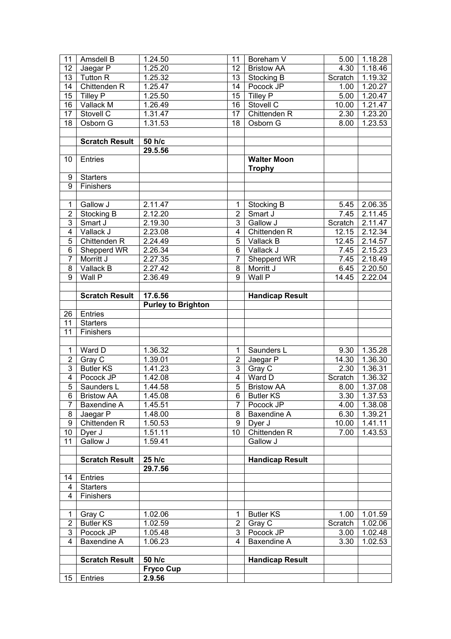| 11              | Amsdell B             | 1.24.50                   | 11              | Boreham V                           | 5.00    | 1.18.28          |
|-----------------|-----------------------|---------------------------|-----------------|-------------------------------------|---------|------------------|
| 12              | Jaegar P              | 1.25.20                   | 12              | <b>Bristow AA</b>                   | 4.30    | 1.18.46          |
| 13              | <b>Tutton R</b>       | 1.25.32                   | 13              | Stocking B                          | Scratch | 1.19.32          |
| 14              | Chittenden R          | 1.25.47                   | 14              | Pocock JP                           | 1.00    | 1.20.27          |
| 15              | Tilley P              | 1.25.50                   | 15              | <b>Tilley P</b>                     | 5.00    | 1.20.47          |
| 16              | Vallack M             | 1.26.49                   | 16              | Stovell C                           | 10.00   | 1.21.47          |
| 17              | Stovell C             | 1.31.47                   | 17              | Chittenden R                        | 2.30    | 1.23.20          |
| 18              | Osborn G              | 1.31.53                   | 18              | Osborn G                            | 8.00    | 1.23.53          |
|                 |                       |                           |                 |                                     |         |                  |
|                 | <b>Scratch Result</b> | 50 h/c                    |                 |                                     |         |                  |
|                 |                       | $29.5.\overline{56}$      |                 |                                     |         |                  |
| 10              | Entries               |                           |                 | <b>Walter Moon</b><br><b>Trophy</b> |         |                  |
| 9               | <b>Starters</b>       |                           |                 |                                     |         |                  |
| 9               | Finishers             |                           |                 |                                     |         |                  |
|                 |                       |                           |                 |                                     |         |                  |
| 1               | Gallow J              | 2.11.47                   | $\mathbf{1}$    | Stocking B                          | 5.45    | 2.06.35          |
| $\overline{2}$  | Stocking B            | 2.12.20                   | $\overline{2}$  | Smart J                             | 7.45    | 2.11.45          |
| 3               | Smart J               | 2.19.30                   | 3               | Gallow J                            | Scratch | 2.11.47          |
| 4               | Vallack J             | 2.23.08                   | $\overline{4}$  | Chittenden R                        | 12.15   | 2.12.34          |
| 5               | Chittenden R          | 2.24.49                   | 5               | Vallack B                           | 12.45   | 2.14.57          |
| 6               | Shepperd WR           | 2.26.34                   | 6               | Vallack J                           | 7.45    | 2.15.23          |
| $\overline{7}$  | Morritt J             | 2.27.35                   | $\overline{7}$  | Shepperd WR                         | 7.45    | 2.18.49          |
| 8               | Vallack B             | 2.27.42                   | 8               | Morritt J                           | 6.45    | 2.20.50          |
| 9               | Wall P                | 2.36.49                   | 9               | Wall P                              | 14.45   | 2.22.04          |
|                 |                       |                           |                 |                                     |         |                  |
|                 | <b>Scratch Result</b> | 17.6.56                   |                 | <b>Handicap Result</b>              |         |                  |
|                 |                       | <b>Purley to Brighton</b> |                 |                                     |         |                  |
| 26              | Entries               |                           |                 |                                     |         |                  |
| 11              | <b>Starters</b>       |                           |                 |                                     |         |                  |
| 11              | Finishers             |                           |                 |                                     |         |                  |
|                 |                       |                           |                 |                                     |         |                  |
| $\mathbf{1}$    | Ward D                | 1.36.32                   | 1               | Saunders L                          | 9.30    | 1.35.28          |
| $\overline{2}$  | Gray C                | 1.39.01                   | $\overline{2}$  | Jaegar P                            | 14.30   | 1.36.30          |
| 3               | <b>Butler KS</b>      | 1.41.23                   | $\overline{3}$  | Gray C                              | 2.30    | 1.36.31          |
| $\overline{4}$  | Pocock JP             | 1.42.08                   | 4               | Ward D                              | Scratch | 1.36.32          |
| $\overline{5}$  | Saunders L            | 1.44.58                   | $\overline{5}$  | <b>Bristow AA</b>                   | 8.00    | 1.37.08          |
| $6\overline{6}$ | <b>Bristow AA</b>     | 1.45.08                   |                 | 6 Butler KS                         |         | $3.30$   1.37.53 |
| $\overline{7}$  | Baxendine A           | 1.45.51                   | $\overline{7}$  | Pocock JP                           | 4.00    | 1.38.08          |
| 8               | Jaegar P              | 1.48.00                   | 8               | Baxendine A                         | 6.30    | 1.39.21          |
| 9               | Chittenden R          | 1.50.53                   | 9               | Dyer J                              | 10.00   | 1.41.11          |
| 10 <sub>1</sub> | Dyer J                | 1.51.11                   | 10 <sup>°</sup> | Chittenden R                        | 7.00    | 1.43.53          |
| 11              | Gallow J              | 1.59.41                   |                 | Gallow J                            |         |                  |
|                 |                       |                           |                 |                                     |         |                  |
|                 | <b>Scratch Result</b> | 25 h/c                    |                 | <b>Handicap Result</b>              |         |                  |
|                 |                       | 29.7.56                   |                 |                                     |         |                  |
| 14              | Entries               |                           |                 |                                     |         |                  |
| 4               | <b>Starters</b>       |                           |                 |                                     |         |                  |
| 4               | Finishers             |                           |                 |                                     |         |                  |
|                 |                       |                           |                 |                                     |         |                  |
| 1               | Gray C                | 1.02.06                   | 1               | <b>Butler KS</b>                    | 1.00    | 1.01.59          |
| $\overline{2}$  | <b>Butler KS</b>      | 1.02.59                   | $\overline{2}$  | Gray C                              | Scratch | 1.02.06          |
| 3               | Pocock JP             | 1.05.48                   | 3               | Pocock JP                           | 3.00    | 1.02.48          |
| 4               | Baxendine A           | 1.06.23                   | 4               | Baxendine A                         | 3.30    | 1.02.53          |
|                 |                       |                           |                 |                                     |         |                  |
|                 | <b>Scratch Result</b> | 50 h/c                    |                 | <b>Handicap Result</b>              |         |                  |
|                 |                       | <b>Fryco Cup</b>          |                 |                                     |         |                  |
| 15              | Entries               | 2.9.56                    |                 |                                     |         |                  |
|                 |                       |                           |                 |                                     |         |                  |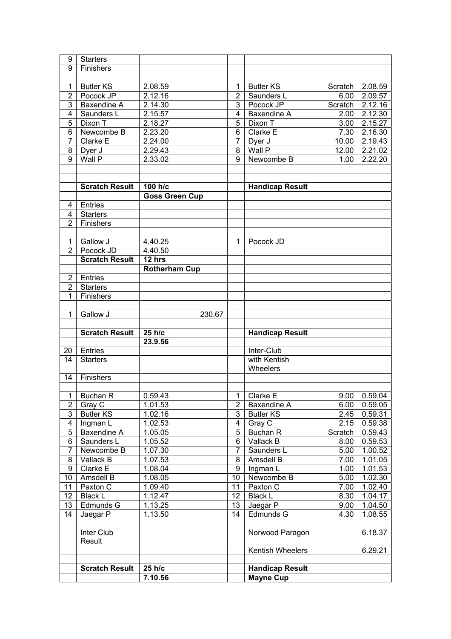| 9                       | <b>Starters</b>       |                       |                |                                            |         |                |
|-------------------------|-----------------------|-----------------------|----------------|--------------------------------------------|---------|----------------|
| 9                       | Finishers             |                       |                |                                            |         |                |
|                         |                       |                       |                |                                            |         |                |
| $\mathbf 1$             | <b>Butler KS</b>      | 2.08.59               | 1              | <b>Butler KS</b>                           | Scratch | 2.08.59        |
| $\overline{2}$          | Pocock JP             | 2.12.16               | $\overline{2}$ | Saunders L                                 | 6.00    | 2.09.57        |
| 3                       | Baxendine A           | 2.14.30               | 3              | Pocock JP                                  | Scratch | 2.12.16        |
| $\overline{\mathbf{4}}$ | Saunders L            | 2.15.57               | $\overline{4}$ | Baxendine A                                | 2.00    | 2.12.30        |
| 5                       | Dixon T               | 2.18.27               | 5              | Dixon T                                    | 3.00    | 2.15.27        |
| 6                       | Newcombe B            | 2.23.20               | 6              | Clarke E                                   | 7.30    | 2.16.30        |
| $\overline{7}$          | Clarke E              | 2.24.00               | 7              | Dyer J                                     | 10.00   | 2.19.43        |
| 8                       |                       | 2.29.43               | 8              | Wall P                                     | 12.00   | 2.21.02        |
| $\overline{9}$          | Dyer J<br>Wall P      |                       | 9              |                                            | 1.00    | 2.22.20        |
|                         |                       | 2.33.02               |                | Newcombe B                                 |         |                |
|                         |                       |                       |                |                                            |         |                |
|                         |                       |                       |                |                                            |         |                |
|                         | <b>Scratch Result</b> | 100 h/c               |                | <b>Handicap Result</b>                     |         |                |
|                         |                       | <b>Goss Green Cup</b> |                |                                            |         |                |
| 4                       | Entries               |                       |                |                                            |         |                |
| 4                       | <b>Starters</b>       |                       |                |                                            |         |                |
| $\overline{2}$          | Finishers             |                       |                |                                            |         |                |
|                         |                       |                       |                |                                            |         |                |
| $\mathbf 1$             | Gallow J              | 4.40.25               | 1              | Pocock JD                                  |         |                |
| $\overline{2}$          | Pocock JD             | 4.40.50               |                |                                            |         |                |
|                         | <b>Scratch Result</b> | 12 hrs                |                |                                            |         |                |
|                         |                       | <b>Rotherham Cup</b>  |                |                                            |         |                |
| $\overline{2}$          | Entries               |                       |                |                                            |         |                |
| $\overline{2}$          | <b>Starters</b>       |                       |                |                                            |         |                |
| 1                       | Finishers             |                       |                |                                            |         |                |
|                         |                       |                       |                |                                            |         |                |
| 1                       | Gallow J              | 230.67                |                |                                            |         |                |
|                         |                       |                       |                |                                            |         |                |
|                         |                       |                       |                |                                            |         |                |
|                         | <b>Scratch Result</b> | 25 h/c                |                | <b>Handicap Result</b>                     |         |                |
|                         |                       | 23.9.56               |                |                                            |         |                |
| 20                      | Entries               |                       |                | Inter-Club                                 |         |                |
| 14                      | <b>Starters</b>       |                       |                | with Kentish                               |         |                |
|                         |                       |                       |                | Wheelers                                   |         |                |
| 14                      | Finishers             |                       |                |                                            |         |                |
|                         |                       |                       |                |                                            |         |                |
| $\mathbf{1}$            | Buchan R              | 0.59.43               | $\overline{1}$ | Clarke E                                   |         | 9.00   0.59.04 |
| $\overline{2}$          | Gray C                | 1.01.53               | $\overline{2}$ | Baxendine A                                | 6.00    | 0.59.05        |
| 3                       | <b>Butler KS</b>      | $1.02.\overline{16}$  | 3              | <b>Butler KS</b>                           | 2.45    | 0.59.31        |
| $\overline{4}$          | Ingman L              | 1.02.53               | $\overline{4}$ | Gray C                                     | 2.15    | 0.59.38        |
| 5                       | Baxendine A           | 1.05.05               | 5              | Buchan R                                   | Scratch | 0.59.43        |
| 6                       | Saunders L            | 1.05.52               | 6              | Vallack B                                  | 8.00    | 0.59.53        |
| $\overline{7}$          | Newcombe B            | 1.07.30               | $\overline{7}$ | Saunders L                                 | 5.00    | 1.00.52        |
| 8                       | Vallack B             | 1.07.53               | 8              | Amsdell B                                  | 7.00    | 1.01.05        |
| $\overline{9}$          | Clarke E              | 1.08.04               | 9              | Ingman L                                   | 1.00    | 1.01.53        |
| 10                      | Amsdell B             | 1.08.05               | 10             | Newcombe B                                 | 5.00    | 1.02.30        |
| 11                      | Paxton $\overline{C}$ | 1.09.40               | 11             | Paxton C                                   | 7.00    | 1.02.40        |
| 12                      | <b>Black L</b>        | 1.12.47               | 12             | <b>Black L</b>                             | 8.30    | 1.04.17        |
| 13                      | Edmunds G             | 1.13.25               | 13             | Jaegar P                                   | 9.00    | 1.04.50        |
| 14                      | Jaegar P              | 1.13.50               | 14             | Edmunds G                                  | 4.30    | 1.08.55        |
|                         |                       |                       |                |                                            |         |                |
|                         | Inter Club            |                       |                | Norwood Paragon                            |         | 6.18.37        |
|                         | Result                |                       |                |                                            |         |                |
|                         |                       |                       |                | Kentish Wheelers                           |         | 6.29.21        |
|                         |                       |                       |                |                                            |         |                |
|                         | <b>Scratch Result</b> | 25 h/c<br>7.10.56     |                | <b>Handicap Result</b><br><b>Mayne Cup</b> |         |                |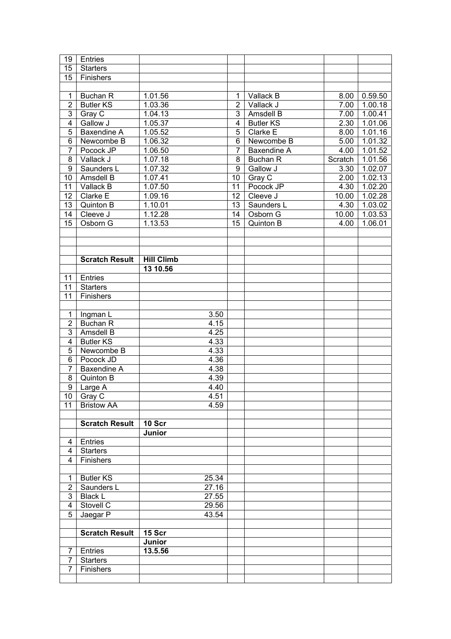| 19                               | Entries                          |                   |                |                  |                   |         |
|----------------------------------|----------------------------------|-------------------|----------------|------------------|-------------------|---------|
| 15                               | <b>Starters</b>                  |                   |                |                  |                   |         |
| 15                               | Finishers                        |                   |                |                  |                   |         |
|                                  |                                  |                   |                |                  |                   |         |
| $\mathbf{1}$                     | <b>Buchan R</b>                  | 1.01.56           | $\mathbf{1}$   | Vallack B        | 8.00              | 0.59.50 |
| $\overline{2}$                   | <b>Butler KS</b>                 | 1.03.36           | $\overline{2}$ | Vallack J        | 7.00              | 1.00.18 |
| $\overline{3}$                   | Gray C                           | 1.04.13           | 3              | Amsdell B        | 7.00              | 1.00.41 |
| $\overline{4}$                   | Gallow J                         | 1.05.37           | $\overline{4}$ | <b>Butler KS</b> | 2.30              | 1.01.06 |
| $\overline{5}$                   | Baxendine A                      | 1.05.52           | 5              | Clarke E         | 8.00              | 1.01.16 |
| $\overline{6}$                   | Newcombe B                       | 1.06.32           | 6              | Newcombe B       | 5.00              | 1.01.32 |
| $\overline{7}$                   | Pocock JP                        | 1.06.50           | $\overline{7}$ | Baxendine A      | 4.00              | 1.01.52 |
| 8                                | Vallack J                        | 1.07.18           | 8              |                  |                   |         |
| $\overline{9}$                   |                                  |                   |                | <b>Buchan R</b>  | Scratch           | 1.01.56 |
|                                  | Saunders L                       | 1.07.32           | 9              | Gallow J         | 3.30              | 1.02.07 |
| 10                               | Amsdell B                        | 1.07.41           | 10             | Gray C           | $\overline{2.00}$ | 1.02.13 |
| 11                               | Vallack B                        | 1.07.50           | 11             | Pocock JP        | 4.30              | 1.02.20 |
| 12                               | Clarke E                         | 1.09.16           | 12             | Cleeve J         | 10.00             | 1.02.28 |
| 13                               | Quinton B                        | 1.10.01           | 13             | Saunders L       | 4.30              | 1.03.02 |
| 14                               | Cleeve J                         | 1.12.28           | 14             | Osborn G         | 10.00             | 1.03.53 |
| 15                               | Osborn G                         | 1.13.53           | 15             | Quinton B        | 4.00              | 1.06.01 |
|                                  |                                  |                   |                |                  |                   |         |
|                                  |                                  |                   |                |                  |                   |         |
|                                  |                                  |                   |                |                  |                   |         |
|                                  | <b>Scratch Result</b>            | <b>Hill Climb</b> |                |                  |                   |         |
|                                  |                                  | 13 10.56          |                |                  |                   |         |
| 11                               | Entries                          |                   |                |                  |                   |         |
| 11                               | <b>Starters</b>                  |                   |                |                  |                   |         |
| 11                               | Finishers                        |                   |                |                  |                   |         |
|                                  |                                  |                   |                |                  |                   |         |
| $\mathbf{1}$                     | Ingman L                         | 3.50              |                |                  |                   |         |
| $\mathbf 2$                      | <b>Buchan R</b>                  | 4.15              |                |                  |                   |         |
| $\overline{3}$                   | Amsdell B                        | 4.25              |                |                  |                   |         |
| $\overline{4}$                   | <b>Butler KS</b>                 | 4.33              |                |                  |                   |         |
| $\overline{5}$<br>$\overline{6}$ | Newcombe B                       | 4.33<br>4.36      |                |                  |                   |         |
| $\overline{7}$                   | Pocock JD<br><b>Baxendine A</b>  |                   |                |                  |                   |         |
|                                  |                                  | 4.38              |                |                  |                   |         |
| 8<br>$\overline{9}$              | Quinton B                        | 4.39              |                |                  |                   |         |
|                                  | Large A                          | 4.40<br>4.51      |                |                  |                   |         |
| 11                               | $10$ Gray C<br><b>Bristow AA</b> | 4.59              |                |                  |                   |         |
|                                  |                                  |                   |                |                  |                   |         |
|                                  | <b>Scratch Result</b>            | 10 Scr            |                |                  |                   |         |
|                                  |                                  | <b>Junior</b>     |                |                  |                   |         |
| 4                                | Entries                          |                   |                |                  |                   |         |
| 4                                | <b>Starters</b>                  |                   |                |                  |                   |         |
| 4                                | Finishers                        |                   |                |                  |                   |         |
|                                  |                                  |                   |                |                  |                   |         |
| $\mathbf 1$                      | <b>Butler KS</b>                 | 25.34             |                |                  |                   |         |
| $\overline{\mathbf{c}}$          | Saunders L                       | 27.16             |                |                  |                   |         |
| 3                                | <b>Black L</b>                   | 27.55             |                |                  |                   |         |
| $\overline{\mathbf{4}}$          | Stovell C                        | 29.56             |                |                  |                   |         |
| 5                                | Jaegar P                         | 43.54             |                |                  |                   |         |
|                                  |                                  |                   |                |                  |                   |         |
|                                  | <b>Scratch Result</b>            | 15 Scr            |                |                  |                   |         |
|                                  |                                  | Junior            |                |                  |                   |         |
|                                  |                                  |                   |                |                  |                   |         |
| 7                                | Entries                          | 13.5.56           |                |                  |                   |         |
| 7                                | <b>Starters</b>                  |                   |                |                  |                   |         |
| $\overline{7}$                   | Finishers                        |                   |                |                  |                   |         |